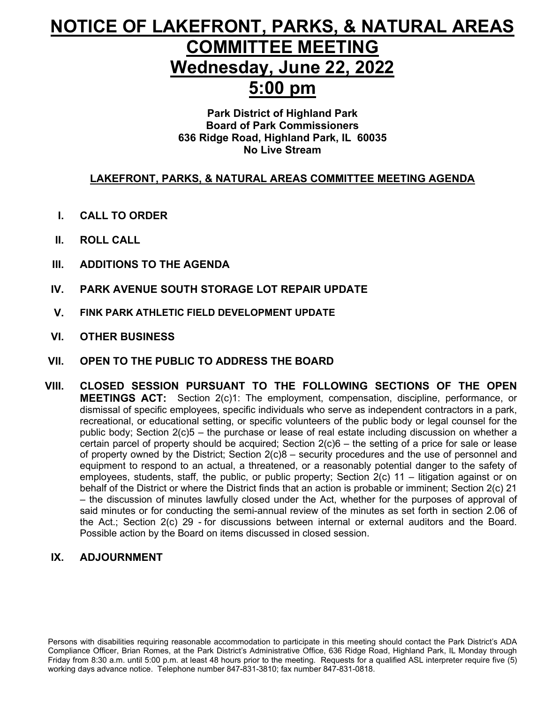# **NOTICE OF LAKEFRONT, PARKS, & NATURAL AREAS COMMITTEE MEETING Wednesday, June 22, 2022 5:00 pm**

### **Park District of Highland Park Board of Park Commissioners 636 Ridge Road, Highland Park, IL 60035 No Live Stream**

## **LAKEFRONT, PARKS, & NATURAL AREAS COMMITTEE MEETING AGENDA**

- **I. CALL TO ORDER**
- **II. ROLL CALL**
- **III. ADDITIONS TO THE AGENDA**
- **IV. PARK AVENUE SOUTH STORAGE LOT REPAIR UPDATE**
- **V. FINK PARK ATHLETIC FIELD DEVELOPMENT UPDATE**
- **VI. OTHER BUSINESS**
- **VII. OPEN TO THE PUBLIC TO ADDRESS THE BOARD**
- **VIII. CLOSED SESSION PURSUANT TO THE FOLLOWING SECTIONS OF THE OPEN MEETINGS ACT:** Section 2(c)1: The employment, compensation, discipline, performance, or dismissal of specific employees, specific individuals who serve as independent contractors in a park, recreational, or educational setting, or specific volunteers of the public body or legal counsel for the public body; Section 2(c)5 – the purchase or lease of real estate including discussion on whether a certain parcel of property should be acquired; Section 2(c)6 – the setting of a price for sale or lease of property owned by the District; Section 2(c)8 – security procedures and the use of personnel and equipment to respond to an actual, a threatened, or a reasonably potential danger to the safety of employees, students, staff, the public, or public property; Section 2(c) 11 – litigation against or on behalf of the District or where the District finds that an action is probable or imminent; Section 2(c) 21 – the discussion of minutes lawfully closed under the Act, whether for the purposes of approval of said minutes or for conducting the semi-annual review of the minutes as set forth in section 2.06 of the Act.; Section 2(c) 29 - for discussions between internal or external auditors and the Board. Possible action by the Board on items discussed in closed session.

## **IX. ADJOURNMENT**

Persons with disabilities requiring reasonable accommodation to participate in this meeting should contact the Park District's ADA Compliance Officer, Brian Romes, at the Park District's Administrative Office, 636 Ridge Road, Highland Park, IL Monday through Friday from 8:30 a.m. until 5:00 p.m. at least 48 hours prior to the meeting. Requests for a qualified ASL interpreter require five (5) working days advance notice. Telephone number 847-831-3810; fax number 847-831-0818.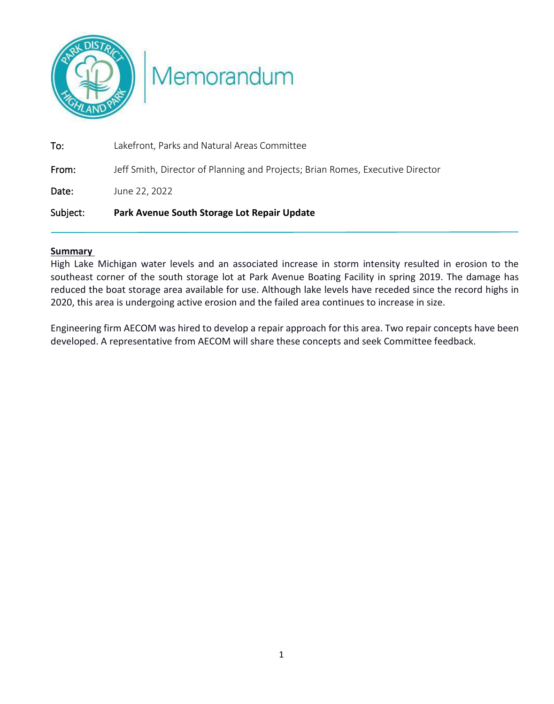

Memorandum

| Subject: | Park Avenue South Storage Lot Repair Update                                    |
|----------|--------------------------------------------------------------------------------|
| Date:    | June 22, 2022                                                                  |
| From:    | Jeff Smith, Director of Planning and Projects; Brian Romes, Executive Director |
| To:      | Lakefront, Parks and Natural Areas Committee                                   |

#### **Summary**

High Lake Michigan water levels and an associated increase in storm intensity resulted in erosion to the southeast corner of the south storage lot at Park Avenue Boating Facility in spring 2019. The damage has reduced the boat storage area available for use. Although lake levels have receded since the record highs in 2020, this area is undergoing active erosion and the failed area continues to increase in size.

Engineering firm AECOM was hired to develop a repair approach for this area. Two repair concepts have been developed. A representative from AECOM will share these concepts and seek Committee feedback.